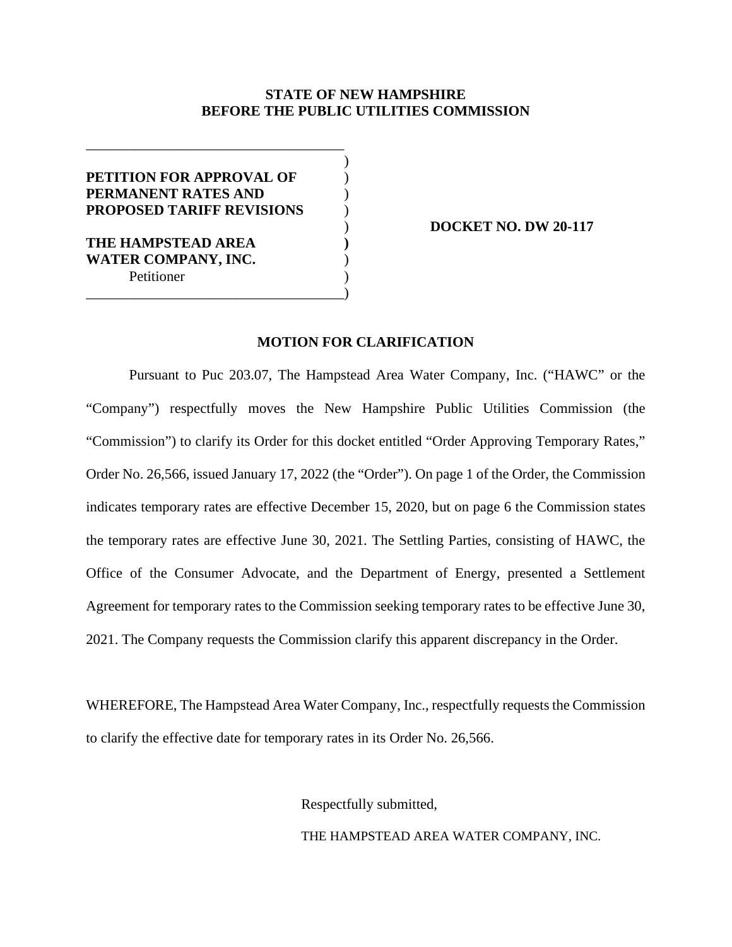## **STATE OF NEW HAMPSHIRE BEFORE THE PUBLIC UTILITIES COMMISSION**

| PETITION FOR APPROVAL OF         |  |
|----------------------------------|--|
| PERMANENT RATES AND              |  |
| <b>PROPOSED TARIFF REVISIONS</b> |  |
|                                  |  |
| THE HAMPSTEAD AREA               |  |
| <b>WATER COMPANY, INC.</b>       |  |
| Petitioner                       |  |
|                                  |  |

) **DOCKET NO. DW 20-117**

## **MOTION FOR CLARIFICATION**

Pursuant to Puc 203.07, The Hampstead Area Water Company, Inc. ("HAWC" or the "Company") respectfully moves the New Hampshire Public Utilities Commission (the "Commission") to clarify its Order for this docket entitled "Order Approving Temporary Rates," Order No. 26,566, issued January 17, 2022 (the "Order"). On page 1 of the Order, the Commission indicates temporary rates are effective December 15, 2020, but on page 6 the Commission states the temporary rates are effective June 30, 2021. The Settling Parties, consisting of HAWC, the Office of the Consumer Advocate, and the Department of Energy, presented a Settlement Agreement for temporary rates to the Commission seeking temporary rates to be effective June 30, 2021. The Company requests the Commission clarify this apparent discrepancy in the Order.

WHEREFORE, The Hampstead Area Water Company, Inc., respectfully requests the Commission to clarify the effective date for temporary rates in its Order No. 26,566.

Respectfully submitted,

THE HAMPSTEAD AREA WATER COMPANY, INC.